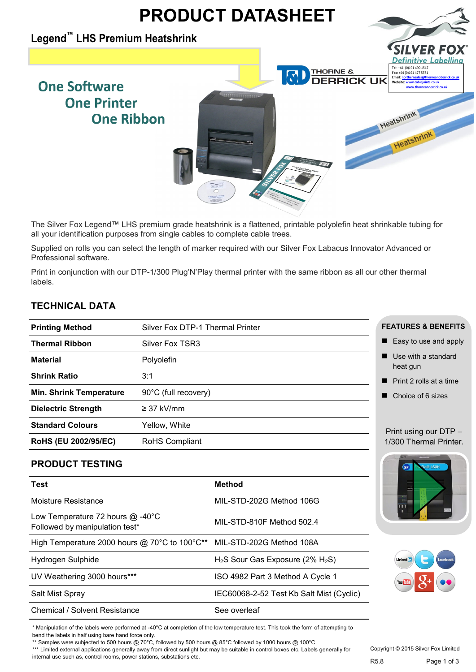

The Silver Fox Legend™ LHS premium grade heatshrink is a flattened, printable polyolefin heat shrinkable tubing for all your identification purposes from single cables to complete cable trees.

Supplied on rolls you can select the length of marker required with our Silver Fox Labacus Innovator Advanced or Professional software.

Print in conjunction with our DTP-1/300 Plug'N'Play thermal printer with the same ribbon as all our other thermal labels.

## **TECHNICAL DATA**

| <b>Thermal Ribbon</b><br>Silver Fox TSR3<br><b>Material</b><br>Polyolefin |  |
|---------------------------------------------------------------------------|--|
|                                                                           |  |
|                                                                           |  |
| <b>Shrink Ratio</b><br>3:1                                                |  |
| 90°C (full recovery)<br><b>Min. Shrink Temperature</b>                    |  |
| <b>Dielectric Strength</b><br>$\geq$ 37 kV/mm                             |  |
| <b>Standard Colours</b><br>Yellow, White                                  |  |
| RoHS (EU 2002/95/EC)<br>RoHS Compliant                                    |  |

### **PRODUCT TESTING**

| Test                                                                   | <b>Method</b>                            |
|------------------------------------------------------------------------|------------------------------------------|
| Moisture Resistance                                                    | MIL-STD-202G Method 106G                 |
| Low Temperature 72 hours $@$ -40°C<br>Followed by manipulation test*   | MIL-STD-810F Method 502.4                |
| High Temperature 2000 hours @ 70°C to 100°C** MIL-STD-202G Method 108A |                                          |
| Hydrogen Sulphide                                                      | $H_2S$ Sour Gas Exposure (2% $H_2S$ )    |
| UV Weathering 3000 hours***                                            | ISO 4982 Part 3 Method A Cycle 1         |
| Salt Mist Spray                                                        | IEC60068-2-52 Test Kb Salt Mist (Cyclic) |
| <b>Chemical / Solvent Resistance</b>                                   | See overleaf                             |

#### **FEATURES & BENEFITS**

- Easy to use and apply
- Use with a standard heat gun
- Print 2 rolls at a time
- Choice of 6 sizes

#### Print using our DTP – 1/300 Thermal Printer.





\* Manipulation of the labels were performed at -40°C at completion of the low temperature test. This took the form of attempting to bend the labels in half using bare hand force only.

\*\* Samples were subjected to 500 hours @ 70°C, followed by 500 hours @ 85°C followed by 1000 hours @ 100°C

\*\*\* Limited external applications generally away from direct sunlight but may be suitable in control boxes etc. Labels generally for internal use such as, control rooms, power stations, substations etc.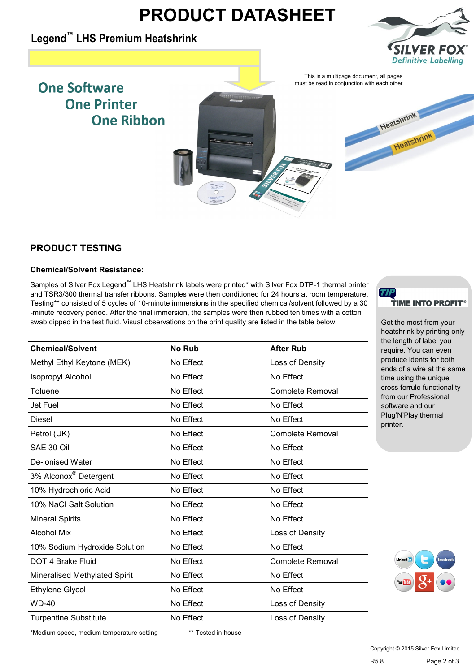# **PRODUCT DATASHEET**

## **Legend™ [LHS Premium Heatshrink](http://www.silverfox.co.uk/store/labelling-solutions/cable-labels/heatshrink/standard.aspx)**



Heatshrink

# **One Software One Printer One Ribbon**



## **PRODUCT TESTING**

#### **Chemical/Solvent Resistance:**

Samples of Silver Fox Legend™ LHS Heatshrink labels were printed\* with Silver Fox DTP-1 thermal printer and TSR3/300 thermal transfer ribbons. Samples were then conditioned for 24 hours at room temperature. Testing\*\* consisted of 5 cycles of 10-minute immersions in the specified chemical/solvent followed by a 30 -minute recovery period. After the final immersion, the samples were then rubbed ten times with a cotton swab dipped in the test fluid. Visual observations on the print quality are listed in the table below.

| <b>Chemical/Solvent</b>           | <b>No Rub</b> | <b>After Rub</b>        |
|-----------------------------------|---------------|-------------------------|
| Methyl Ethyl Keytone (MEK)        | No Effect     | Loss of Density         |
| <b>Isopropyl Alcohol</b>          | No Effect     | No Effect               |
| Toluene                           | No Effect     | <b>Complete Removal</b> |
| Jet Fuel                          | No Effect     | No Effect               |
| <b>Diesel</b>                     | No Effect     | No Effect               |
| Petrol (UK)                       | No Effect     | Complete Removal        |
| SAE 30 Oil                        | No Effect     | No Effect               |
| De-ionised Water                  | No Effect     | No Effect               |
| 3% Alconox <sup>®</sup> Detergent | No Effect     | No Effect               |
| 10% Hydrochloric Acid             | No Effect     | No Effect               |
| 10% NaCl Salt Solution            | No Effect     | No Effect               |
| <b>Mineral Spirits</b>            | No Effect     | No Effect               |
| <b>Alcohol Mix</b>                | No Effect     | Loss of Density         |
| 10% Sodium Hydroxide Solution     | No Effect     | No Effect               |
| DOT 4 Brake Fluid                 | No Effect     | Complete Removal        |
| Mineralised Methylated Spirit     | No Effect     | No Effect               |
| Ethylene Glycol                   | No Effect     | No Effect               |
| <b>WD-40</b>                      | No Effect     | Loss of Density         |
| <b>Turpentine Substitute</b>      | No Effect     | Loss of Density         |
|                                   |               |                         |



Get the most from your heatshrink by printing only the length of label you require. You can even produce idents for both ends of a wire at the same time using the unique cross ferrule functionality from our Professional software and our Plug'N'Play thermal printer.